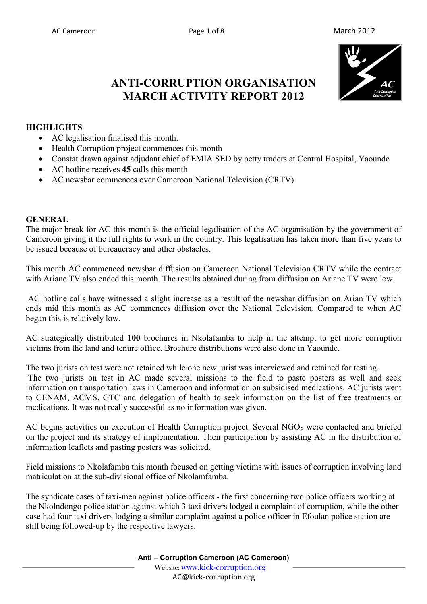

# **ANTI-CORRUPTION ORGANISATION MARCH ACTIVITY REPORT 2012**

#### **HIGHLIGHTS**

- AC legalisation finalised this month.
- Health Corruption project commences this month
- Constat drawn against adjudant chief of EMIA SED by petty traders at Central Hospital, Yaounde
- AC hotline receives **45** calls this month
- AC newsbar commences over Cameroon National Television (CRTV)

#### **GENERAL**

The major break for AC this month is the official legalisation of the AC organisation by the government of Cameroon giving it the full rights to work in the country. This legalisation has taken more than five years to be issued because of bureaucracy and other obstacles.

This month AC commenced newsbar diffusion on Cameroon National Television CRTV while the contract with Ariane TV also ended this month. The results obtained during from diffusion on Ariane TV were low.

 AC hotline calls have witnessed a slight increase as a result of the newsbar diffusion on Arian TV which ends mid this month as AC commences diffusion over the National Television. Compared to when AC began this is relatively low.

AC strategically distributed **100** brochures in Nkolafamba to help in the attempt to get more corruption victims from the land and tenure office. Brochure distributions were also done in Yaounde.

The two jurists on test were not retained while one new jurist was interviewed and retained for testing. The two jurists on test in AC made several missions to the field to paste posters as well and seek information on transportation laws in Cameroon and information on subsidised medications. AC jurists went to CENAM, ACMS, GTC and delegation of health to seek information on the list of free treatments or medications. It was not really successful as no information was given.

AC begins activities on execution of Health Corruption project. Several NGOs were contacted and briefed on the project and its strategy of implementation. Their participation by assisting AC in the distribution of information leaflets and pasting posters was solicited.

Field missions to Nkolafamba this month focused on getting victims with issues of corruption involving land matriculation at the sub-divisional office of Nkolamfamba.

The syndicate cases of taxi-men against police officers - the first concerning two police officers working at the Nkolndongo police station against which 3 taxi drivers lodged a complaint of corruption, while the other case had four taxi drivers lodging a similar complaint against a police officer in Efoulan police station are still being followed-up by the respective lawyers.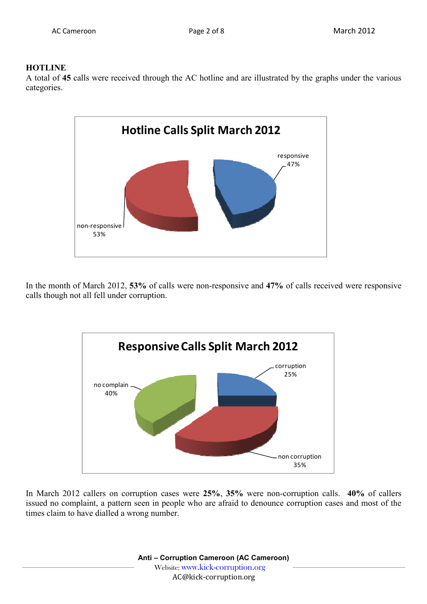### **HOTLINE**

A total of **45** calls were received through the AC hotline and are illustrated by the graphs under the various categories.



In the month of March 2012, **53%** of calls were non-responsive and **47%** of calls received were responsive calls though not all fell under corruption.



In March 2012 callers on corruption cases were **25%**, **35%** were non-corruption calls. **40%** of callers issued no complaint, a pattern seen in people who are afraid to denounce corruption cases and most of the times claim to have dialled a wrong number.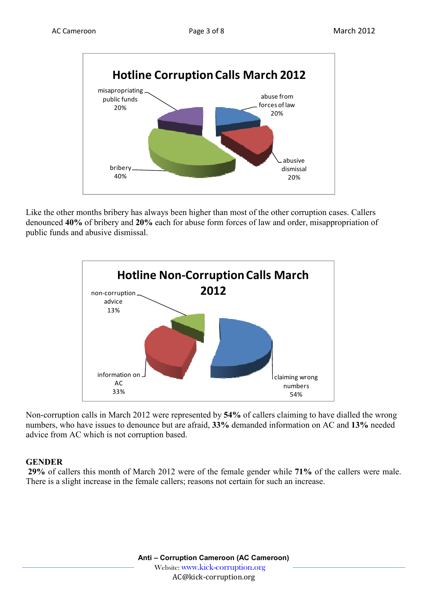

Like the other months bribery has always been higher than most of the other corruption cases. Callers denounced **40%** of bribery and **20%** each for abuse form forces of law and order, misappropriation of public funds and abusive dismissal.



Non-corruption calls in March 2012 were represented by **54%** of callers claiming to have dialled the wrong numbers, who have issues to denounce but are afraid, **33%** demanded information on AC and **13%** needed advice from AC which is not corruption based.

#### **GENDER**

**29%** of callers this month of March 2012 were of the female gender while **71%** of the callers were male. There is a slight increase in the female callers; reasons not certain for such an increase.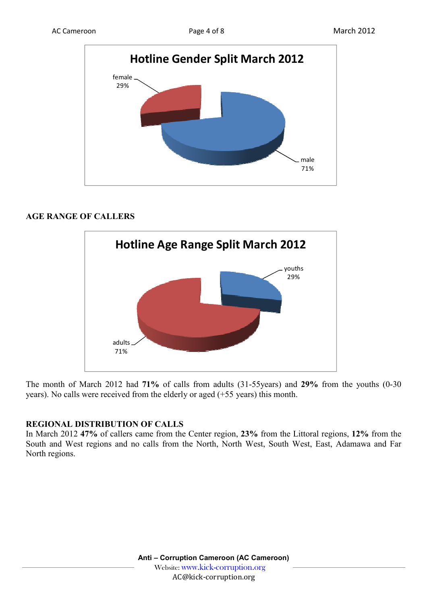

## **AGE RANGE OF CALLERS**



The month of March 2012 had **71%** of calls from adults (31-55years) and **29%** from the youths (0-30 years). No calls were received from the elderly or aged (+55 years) this month.

## **REGIONAL DISTRIBUTION OF CALLS**

In March 2012 **47%** of callers came from the Center region, **23%** from the Littoral regions, **12%** from the South and West regions and no calls from the North, North West, South West, East, Adamawa and Far North regions.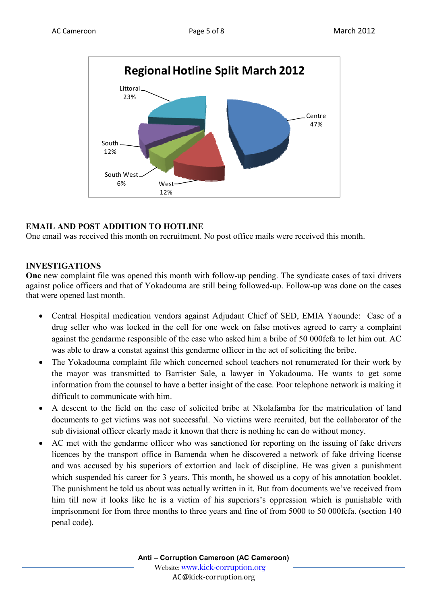

## **EMAIL AND POST ADDITION TO HOTLINE**

One email was received this month on recruitment. No post office mails were received this month.

#### **INVESTIGATIONS**

**One** new complaint file was opened this month with follow-up pending. The syndicate cases of taxi drivers against police officers and that of Yokadouma are still being followed-up. Follow-up was done on the cases that were opened last month.

- Central Hospital medication vendors against Adjudant Chief of SED, EMIA Yaounde: Case of a drug seller who was locked in the cell for one week on false motives agreed to carry a complaint against the gendarme responsible of the case who asked him a bribe of 50 000fcfa to let him out. AC was able to draw a constat against this gendarme officer in the act of soliciting the bribe.
- The Yokadouma complaint file which concerned school teachers not renumerated for their work by the mayor was transmitted to Barrister Sale, a lawyer in Yokadouma. He wants to get some information from the counsel to have a better insight of the case. Poor telephone network is making it difficult to communicate with him.
- A descent to the field on the case of solicited bribe at Nkolafamba for the matriculation of land documents to get victims was not successful. No victims were recruited, but the collaborator of the sub divisional officer clearly made it known that there is nothing he can do without money.
- AC met with the gendarme officer who was sanctioned for reporting on the issuing of fake drivers licences by the transport office in Bamenda when he discovered a network of fake driving license and was accused by his superiors of extortion and lack of discipline. He was given a punishment which suspended his career for 3 years. This month, he showed us a copy of his annotation booklet. The punishment he told us about was actually written in it. But from documents we've received from him till now it looks like he is a victim of his superiors's oppression which is punishable with imprisonment for from three months to three years and fine of from 5000 to 50 000fcfa. (section 140 penal code).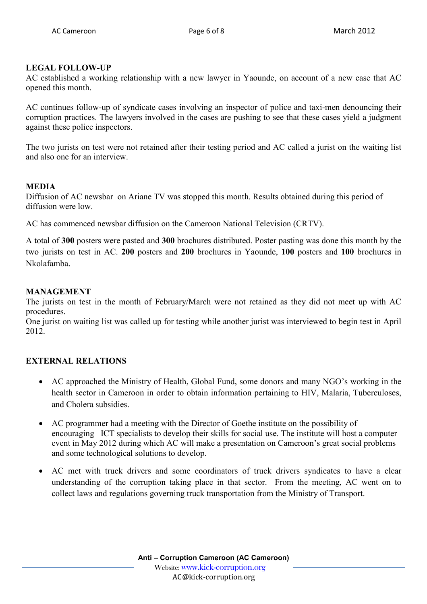## **LEGAL FOLLOW-UP**

AC established a working relationship with a new lawyer in Yaounde, on account of a new case that AC opened this month.

AC continues follow-up of syndicate cases involving an inspector of police and taxi-men denouncing their corruption practices. The lawyers involved in the cases are pushing to see that these cases yield a judgment against these police inspectors.

The two jurists on test were not retained after their testing period and AC called a jurist on the waiting list and also one for an interview.

#### **MEDIA**

Diffusion of AC newsbar on Ariane TV was stopped this month. Results obtained during this period of diffusion were low.

AC has commenced newsbar diffusion on the Cameroon National Television (CRTV).

A total of **300** posters were pasted and **300** brochures distributed. Poster pasting was done this month by the two jurists on test in AC. **200** posters and **200** brochures in Yaounde, **100** posters and **100** brochures in Nkolafamba.

#### **MANAGEMENT**

The jurists on test in the month of February/March were not retained as they did not meet up with AC procedures.

One jurist on waiting list was called up for testing while another jurist was interviewed to begin test in April 2012.

## **EXTERNAL RELATIONS**

- AC approached the Ministry of Health, Global Fund, some donors and many NGO's working in the health sector in Cameroon in order to obtain information pertaining to HIV, Malaria, Tuberculoses, and Cholera subsidies.
- AC programmer had a meeting with the Director of Goethe institute on the possibility of encouraging ICT specialists to develop their skills for social use. The institute will host a computer event in May 2012 during which AC will make a presentation on Cameroon's great social problems and some technological solutions to develop.
- AC met with truck drivers and some coordinators of truck drivers syndicates to have a clear understanding of the corruption taking place in that sector. From the meeting, AC went on to collect laws and regulations governing truck transportation from the Ministry of Transport.